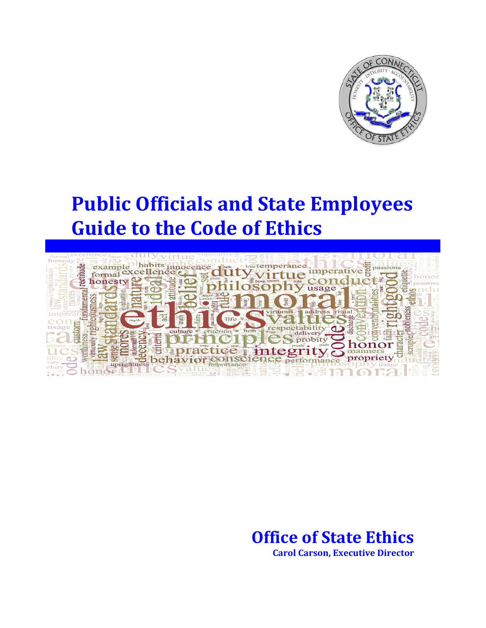

# **Public Officials and State Employees Guide to the Code of Ethics**



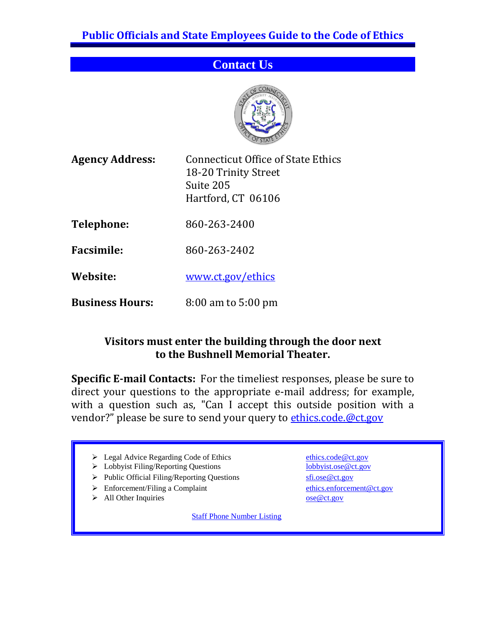## **Contact Us**



**Agency Address:** Connecticut Office of State Ethics

| <b>Agency Address:</b> |  |  |
|------------------------|--|--|
|------------------------|--|--|

18-20 Trinity Street Suite 205 Hartford, CT 06106

**Telephone:** 860-263-2400

**Facsimile:** 860-263-2402

**Website:** [www.ct.gov/ethics](http://www.ct.gov/ethics)

**Business Hours:** 8:00 am to 5:00 pm

#### **Visitors must enter the building through the door next to the Bushnell Memorial Theater.**

**Specific E-mail Contacts:** For the timeliest responses, please be sure to direct your questions to the appropriate e-mail address; for example, with a question such as, "Can I accept this outside position with a vendor?" please be sure to send your query to [ethics.code.@ct.gov](mailto:ethics.code.@ct.gov)

- > Legal Advice Regarding Code of Ethics [ethics.code@ct.gov](mailto:ethics.code@ct.gov)
- > Lobbyist Filing/Reporting Questions lobbyist.ose @ct.gov
- Public Official Filing/Reporting Questions [sfi.ose@ct.gov](mailto:sfi.ose@ct.gov)
- ▶ Enforcement/Filing a Complaint [ethics.enforcement@ct.gov](mailto:ethics.enforcement@ct.gov)
- → All Other Inquiries ose @ct.gov

[Staff Phone Number Listing](http://www.ct.gov/ethics/cwp/view.asp?a=3507&q=414898)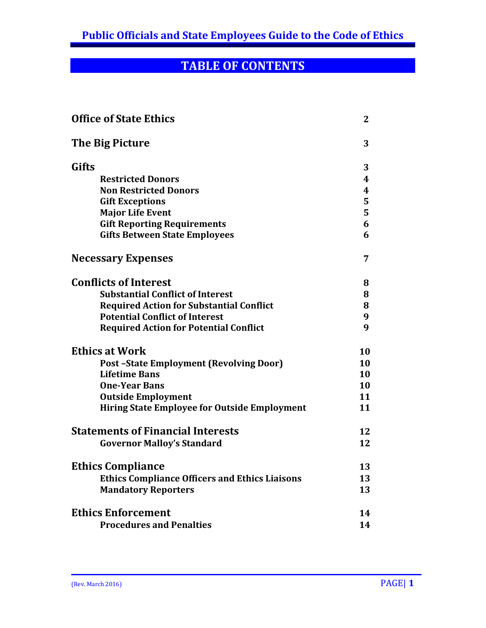## **TABLE OF CONTENTS**

| 3<br>3<br><b>Restricted Donors</b><br>4<br><b>Non Restricted Donors</b><br>4<br>5<br><b>Gift Exceptions</b><br>5<br><b>Major Life Event</b><br>6<br><b>Gift Reporting Requirements</b><br><b>Gifts Between State Employees</b><br>6<br>7<br>8<br><b>Substantial Conflict of Interest</b><br>8<br><b>Required Action for Substantial Conflict</b><br>8<br><b>Potential Conflict of Interest</b><br>9<br>9<br><b>Required Action for Potential Conflict</b><br>10<br><b>Post-State Employment (Revolving Door)</b><br>10<br><b>Lifetime Bans</b><br><b>10</b><br><b>One-Year Bans</b><br>10<br><b>Outside Employment</b><br>11<br><b>Hiring State Employee for Outside Employment</b><br>11<br>12<br>12<br><b>Governor Malloy's Standard</b><br><b>Ethics Compliance</b><br>13<br><b>Ethics Compliance Officers and Ethics Liaisons</b><br>13<br><b>Mandatory Reporters</b><br>13<br>14<br><b>Procedures and Penalties</b><br>14 | <b>Office of State Ethics</b>            |  |  |
|--------------------------------------------------------------------------------------------------------------------------------------------------------------------------------------------------------------------------------------------------------------------------------------------------------------------------------------------------------------------------------------------------------------------------------------------------------------------------------------------------------------------------------------------------------------------------------------------------------------------------------------------------------------------------------------------------------------------------------------------------------------------------------------------------------------------------------------------------------------------------------------------------------------------------------|------------------------------------------|--|--|
|                                                                                                                                                                                                                                                                                                                                                                                                                                                                                                                                                                                                                                                                                                                                                                                                                                                                                                                                | The Big Picture                          |  |  |
|                                                                                                                                                                                                                                                                                                                                                                                                                                                                                                                                                                                                                                                                                                                                                                                                                                                                                                                                | Gifts                                    |  |  |
|                                                                                                                                                                                                                                                                                                                                                                                                                                                                                                                                                                                                                                                                                                                                                                                                                                                                                                                                |                                          |  |  |
|                                                                                                                                                                                                                                                                                                                                                                                                                                                                                                                                                                                                                                                                                                                                                                                                                                                                                                                                |                                          |  |  |
|                                                                                                                                                                                                                                                                                                                                                                                                                                                                                                                                                                                                                                                                                                                                                                                                                                                                                                                                |                                          |  |  |
|                                                                                                                                                                                                                                                                                                                                                                                                                                                                                                                                                                                                                                                                                                                                                                                                                                                                                                                                |                                          |  |  |
|                                                                                                                                                                                                                                                                                                                                                                                                                                                                                                                                                                                                                                                                                                                                                                                                                                                                                                                                |                                          |  |  |
|                                                                                                                                                                                                                                                                                                                                                                                                                                                                                                                                                                                                                                                                                                                                                                                                                                                                                                                                |                                          |  |  |
|                                                                                                                                                                                                                                                                                                                                                                                                                                                                                                                                                                                                                                                                                                                                                                                                                                                                                                                                | <b>Necessary Expenses</b>                |  |  |
|                                                                                                                                                                                                                                                                                                                                                                                                                                                                                                                                                                                                                                                                                                                                                                                                                                                                                                                                | <b>Conflicts of Interest</b>             |  |  |
|                                                                                                                                                                                                                                                                                                                                                                                                                                                                                                                                                                                                                                                                                                                                                                                                                                                                                                                                |                                          |  |  |
|                                                                                                                                                                                                                                                                                                                                                                                                                                                                                                                                                                                                                                                                                                                                                                                                                                                                                                                                |                                          |  |  |
|                                                                                                                                                                                                                                                                                                                                                                                                                                                                                                                                                                                                                                                                                                                                                                                                                                                                                                                                |                                          |  |  |
|                                                                                                                                                                                                                                                                                                                                                                                                                                                                                                                                                                                                                                                                                                                                                                                                                                                                                                                                |                                          |  |  |
|                                                                                                                                                                                                                                                                                                                                                                                                                                                                                                                                                                                                                                                                                                                                                                                                                                                                                                                                | <b>Ethics at Work</b>                    |  |  |
|                                                                                                                                                                                                                                                                                                                                                                                                                                                                                                                                                                                                                                                                                                                                                                                                                                                                                                                                |                                          |  |  |
|                                                                                                                                                                                                                                                                                                                                                                                                                                                                                                                                                                                                                                                                                                                                                                                                                                                                                                                                |                                          |  |  |
|                                                                                                                                                                                                                                                                                                                                                                                                                                                                                                                                                                                                                                                                                                                                                                                                                                                                                                                                |                                          |  |  |
|                                                                                                                                                                                                                                                                                                                                                                                                                                                                                                                                                                                                                                                                                                                                                                                                                                                                                                                                |                                          |  |  |
|                                                                                                                                                                                                                                                                                                                                                                                                                                                                                                                                                                                                                                                                                                                                                                                                                                                                                                                                |                                          |  |  |
|                                                                                                                                                                                                                                                                                                                                                                                                                                                                                                                                                                                                                                                                                                                                                                                                                                                                                                                                | <b>Statements of Financial Interests</b> |  |  |
|                                                                                                                                                                                                                                                                                                                                                                                                                                                                                                                                                                                                                                                                                                                                                                                                                                                                                                                                |                                          |  |  |
|                                                                                                                                                                                                                                                                                                                                                                                                                                                                                                                                                                                                                                                                                                                                                                                                                                                                                                                                |                                          |  |  |
|                                                                                                                                                                                                                                                                                                                                                                                                                                                                                                                                                                                                                                                                                                                                                                                                                                                                                                                                |                                          |  |  |
|                                                                                                                                                                                                                                                                                                                                                                                                                                                                                                                                                                                                                                                                                                                                                                                                                                                                                                                                |                                          |  |  |
|                                                                                                                                                                                                                                                                                                                                                                                                                                                                                                                                                                                                                                                                                                                                                                                                                                                                                                                                | <b>Ethics Enforcement</b>                |  |  |
|                                                                                                                                                                                                                                                                                                                                                                                                                                                                                                                                                                                                                                                                                                                                                                                                                                                                                                                                |                                          |  |  |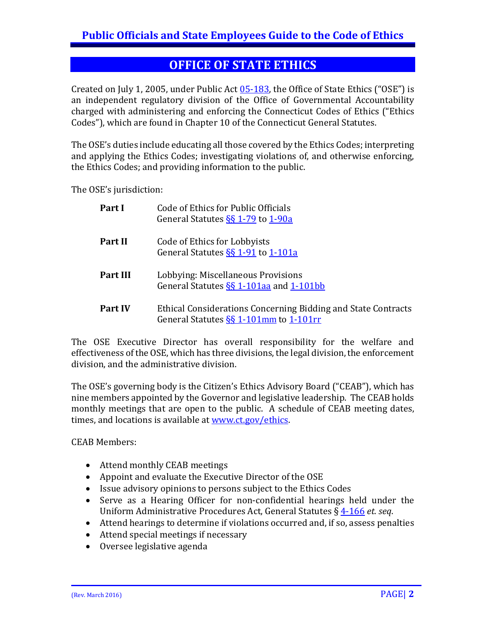## **OFFICE OF STATE ETHICS**

Created on July 1, 2005, under Public Act [05-183,](http://www.cga.ct.gov/2005/act/Pa/2005PA-00183-R00SB-00001-PA.htm) the Office of State Ethics ("OSE") is an independent regulatory division of the Office of Governmental Accountability charged with administering and enforcing the Connecticut Codes of Ethics ("Ethics Codes"), which are found in Chapter 10 of the Connecticut General Statutes.

The OSE's duties include educating all those covered by the Ethics Codes; interpreting and applying the Ethics Codes; investigating violations of, and otherwise enforcing, the Ethics Codes; and providing information to the public.

The OSE's jurisdiction:

| Part I         | Code of Ethics for Public Officials<br>General Statutes SS 1-79 to 1-90a                                                                      |
|----------------|-----------------------------------------------------------------------------------------------------------------------------------------------|
| <b>Part II</b> | Code of Ethics for Lobbyists<br>General Statutes §§ 1-91 to 1-101a                                                                            |
| Part III       | Lobbying: Miscellaneous Provisions<br>General Statutes $\S$ 1-101aa and 1-101bb                                                               |
| Part IV        | Ethical Considerations Concerning Bidding and State Contracts<br>General Statutes S <sub>§</sub> § 1-101 <sub>mm</sub> to 1-101 <sub>rm</sub> |

The OSE Executive Director has overall responsibility for the welfare and effectiveness of the OSE, which has three divisions, the legal division, the enforcement division, and the administrative division.

The OSE's governing body is the Citizen's Ethics Advisory Board ("CEAB"), which has nine members appointed by the Governor and legislative leadership. The CEAB holds monthly meetings that are open to the public. A schedule of CEAB meeting dates, times, and locations is available a[t www.ct.gov/ethics.](http://www.ct.gov/ethics)

CEAB Members:

- Attend monthly CEAB meetings
- Appoint and evaluate the Executive Director of the OSE
- Issue advisory opinions to persons subject to the Ethics Codes
- Serve as a Hearing Officer for non-confidential hearings held under the Uniform Administrative Procedures Act, General Statutes § [4-166](https://www.cga.ct.gov/current/pub/chap_054.htm#sec_4-166) *et. seq*.
- Attend hearings to determine if violations occurred and, if so, assess penalties
- Attend special meetings if necessary
- Oversee legislative agenda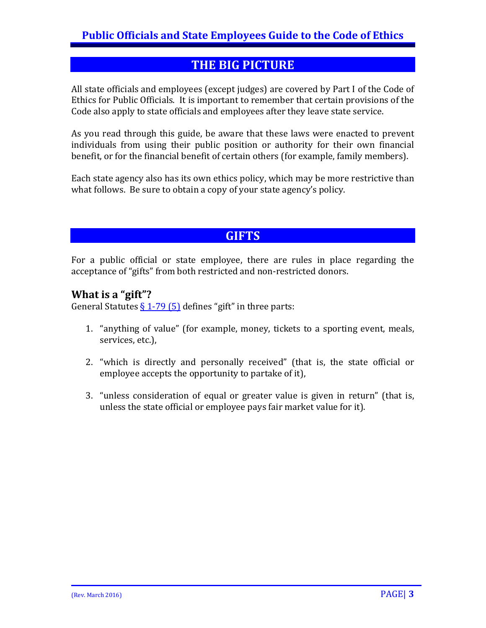## **THE BIG PICTURE**

All state officials and employees (except judges) are covered by Part I of the Code of Ethics for Public Officials. It is important to remember that certain provisions of the Code also apply to state officials and employees after they leave state service.

As you read through this guide, be aware that these laws were enacted to prevent individuals from using their public position or authority for their own financial benefit, or for the financial benefit of certain others (for example, family members).

Each state agency also has its own ethics policy, which may be more restrictive than what follows. Be sure to obtain a copy of your state agency's policy.

## **GIFTS**

For a public official or state employee, there are rules in place regarding the acceptance of "gifts" from both restricted and non-restricted donors.

#### **What is a "gift"?**

General Statutes  $\S 1-79$  (5) defines "gift" in three parts:

- 1. "anything of value" (for example, money, tickets to a sporting event, meals, services, etc.),
- 2. "which is directly and personally received" (that is, the state official or employee accepts the opportunity to partake of it),
- 3. "unless consideration of equal or greater value is given in return" (that is, unless the state official or employee pays fair market value for it).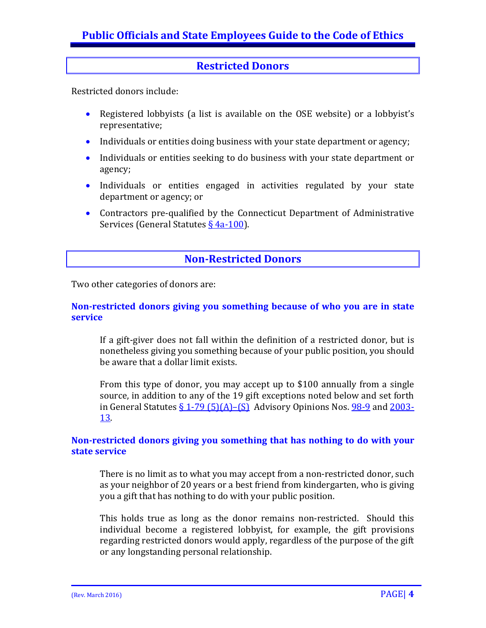#### **Restricted Donors**

Restricted donors include:

- Registered lobbyists (a list is available on the OSE website) or a lobbyist's representative;
- Individuals or entities doing business with your state department or agency;
- Individuals or entities seeking to do business with your state department or agency;
- Individuals or entities engaged in activities regulated by your state department or agency; or
- Contractors pre-qualified by the Connecticut Department of Administrative Services (General Statutes [§ 4a-100\)](https://www.cga.ct.gov/current/pub/chap_058a.htm#sec_4a-100).

#### **Non-Restricted Donors**

Two other categories of donors are:

#### **Non-restricted donors giving you something because of who you are in state service**

If a gift-giver does not fall within the definition of a restricted donor, but is nonetheless giving you something because of your public position, you should be aware that a dollar limit exists.

From this type of donor, you may accept up to \$100 annually from a single source, in addition to any of the 19 gift exceptions noted below and set forth in General Statutes  $\S 1-79$  (5)(A)–(S) Advisory Opinions Nos. [98-9](http://www.ct.gov/ethics/cwp/view.asp?a=2305&q=301316) and [2003-](http://www.ct.gov/ethics/cwp/view.asp?a=2305&q=301546) [13.](http://www.ct.gov/ethics/cwp/view.asp?a=2305&q=301546)

#### **Non-restricted donors giving you something that has nothing to do with your state service**

There is no limit as to what you may accept from a non-restricted donor, such as your neighbor of 20 years or a best friend from kindergarten, who is giving you a gift that has nothing to do with your public position.

This holds true as long as the donor remains non-restricted. Should this individual become a registered lobbyist, for example, the gift provisions regarding restricted donors would apply, regardless of the purpose of the gift or any longstanding personal relationship.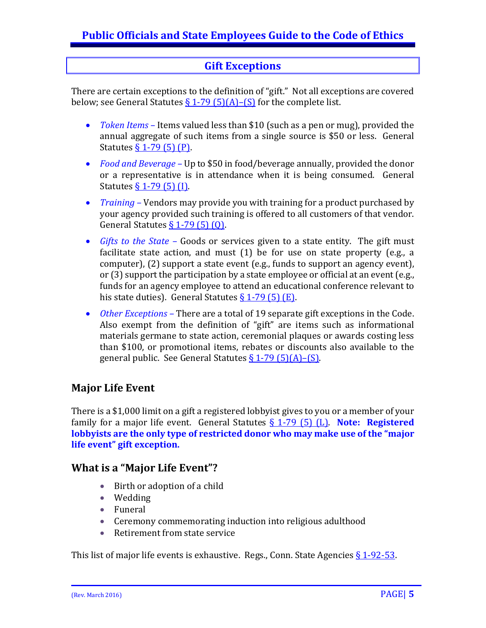## **Gift Exceptions**

There are certain exceptions to the definition of "gift." Not all exceptions are covered below; see General Statutes  $\S 1-79$  (5)(A)–(S) for the complete list.

- *Token Items –* Items valued less than \$10 (such as a pen or mug), provided the annual aggregate of such items from a single source is \$50 or less. General Statutes [§ 1-79 \(5\) \(P\).](https://www.cga.ct.gov/2016/sup/chap_010.htm#sec_1-79)
- *Food and Beverage –* Up to \$50 in food/beverage annually, provided the donor or a representative is in attendance when it is being consumed. General Statutes <u>§ 1-79 (5) (I)</u>.
- *Training* Vendors may provide you with training for a product purchased by your agency provided such training is offered to all customers of that vendor. General Statutes  $\S$  1-79 (5) (0).
- *Gifts to the State –* Goods or services given to a state entity. The gift must facilitate state action, and must (1) be for use on state property (e.g., a computer), (2) support a state event (e.g., funds to support an agency event), or (3) support the participation by a state employee or official at an event (e.g., funds for an agency employee to attend an educational conference relevant to his state duties). General Statutes  $\S$  1-79 (5) (E).
- *Other Exceptions –* There are a total of 19 separate gift exceptions in the Code. Also exempt from the definition of "gift" are items such as informational materials germane to state action, ceremonial plaques or awards costing less than \$100, or promotional items, rebates or discounts also available to the general public. See General Statutes  $§ 1-79(5)(A) - (S)$ .

#### **Major Life Event**

There is a \$1,000 limit on a gift a registered lobbyist gives to you or a member of your family for a major life event. General Statutes [§ 1-79 \(5\) \(L\).](https://www.cga.ct.gov/2016/sup/chap_010.htm#sec_1-79) **Note: Registered lobbyists are the only type of restricted donor who may make use of the "major life event" gift exception.**

#### **What is a "Major Life Event"?**

- Birth or adoption of a child
- Wedding
- Funeral
- Ceremony commemorating induction into religious adulthood<br>• Retirement from state service
- Retirement from state service

This list of major life events is exhaustive. Regs., Conn. State Agencies  $\S 1-92-53$ .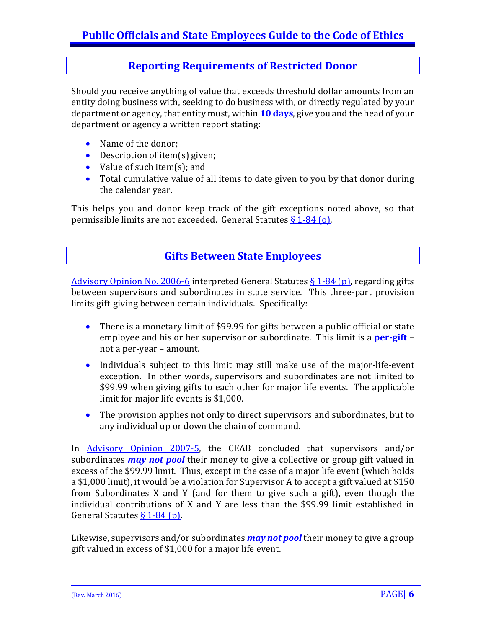#### **Reporting Requirements of Restricted Donor**

Should you receive anything of value that exceeds threshold dollar amounts from an entity doing business with, seeking to do business with, or directly regulated by your department or agency, that entity must, within **10 days**, give you and the head of your department or agency a written report stating:

- Name of the donor;
- Description of item(s) given;
- Value of such item(s); and
- Total cumulative value of all items to date given to you by that donor during the calendar year.

This helps you and donor keep track of the gift exceptions noted above, so that permissible limits are not exceeded. General Statutes  $\S 1-84$  (o).

#### **Gifts Between State Employees**

[Advisory Opinion No. 2006-6](http://www.ct.gov/ethics/cwp/view.asp?a=2305&q=318138) interpreted General Statutes  $\S$  1-84 (p), regarding gifts between supervisors and subordinates in state service. This three-part provision limits gift-giving between certain individuals. Specifically:

- There is a monetary limit of \$99.99 for gifts between a public official or state employee and his or her supervisor or subordinate. This limit is a **per-gift** – not a per-year – amount.
- Individuals subject to this limit may still make use of the major-life-event exception. In other words, supervisors and subordinates are not limited to \$99.99 when giving gifts to each other for major life events. The applicable limit for major life events is \$1,000.
- The provision applies not only to direct supervisors and subordinates, but to any individual up or down the chain of command.

In [Advisory Opinion 2007-5,](http://www.ct.gov/ethics/cwp/view.asp?a=2305&q=332770) the CEAB concluded that supervisors and/or subordinates *may not pool* their money to give a collective or group gift valued in excess of the \$99.99 limit. Thus, except in the case of a major life event (which holds a \$1,000 limit), it would be a violation for Supervisor A to accept a gift valued at \$150 from Subordinates X and Y (and for them to give such a gift), even though the individual contributions of X and Y are less than the \$99.99 limit established in General Statutes  $\S 1-84$  (p).

Likewise, supervisors and/or subordinates *may not pool* their money to give a group gift valued in excess of \$1,000 for a major life event.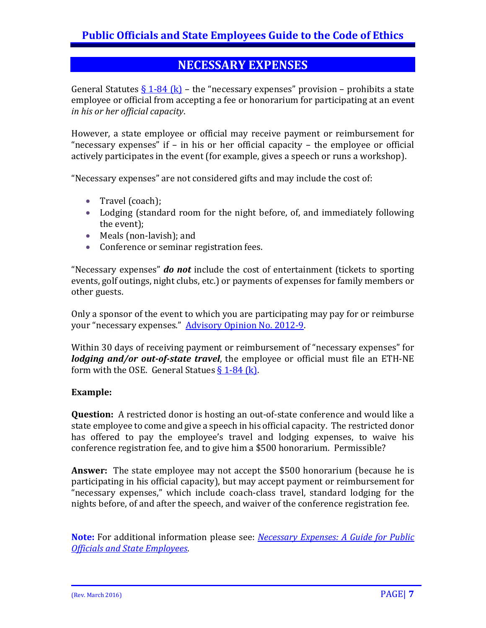## **NECESSARY EXPENSES**

General Statutes [§ 1-84 \(k\)](https://www.cga.ct.gov/current/pub/chap_010.htm#sec_1-84) – the "necessary expenses" provision – prohibits a state employee or official from accepting a fee or honorarium for participating at an event *in his or her official capacity*.

However, a state employee or official may receive payment or reimbursement for "necessary expenses" if – in his or her official capacity – the employee or official actively participates in the event (for example, gives a speech or runs a workshop).

"Necessary expenses" are not considered gifts and may include the cost of:

- Travel (coach);
- Lodging (standard room for the night before, of, and immediately following the event);
- Meals (non-lavish); and
- Conference or seminar registration fees.

"Necessary expenses" *do not* include the cost of entertainment (tickets to sporting events, golf outings, night clubs, etc.) or payments of expenses for family members or other guests.

Only a sponsor of the event to which you are participating may pay for or reimburse your "necessary expenses." [Advisory Opinion No. 2012-9.](http://www.ct.gov/ethics/lib/ethics/advisory_opinions/2012/advisory_opinion_no_2012-9.pdf)

Within 30 days of receiving payment or reimbursement of "necessary expenses" for *lodging and/or out-of-state travel*, the employee or official must file an ETH-NE form with the OSE. General Statues  $\S 1-84$  (k).

#### **Example:**

**Question:** A restricted donor is hosting an out-of-state conference and would like a state employee to come and give a speech in his official capacity. The restricted donor has offered to pay the employee's travel and lodging expenses, to waive his conference registration fee, and to give him a \$500 honorarium. Permissible?

**Answer:** The state employee may not accept the \$500 honorarium (because he is participating in his official capacity), but may accept payment or reimbursement for "necessary expenses," which include coach-class travel, standard lodging for the nights before, of and after the speech, and waiver of the conference registration fee.

**Note:** For additional information please see: *[Necessary Expenses: A Guide for Public](http://www.ct.gov/ethics/cwp/view.asp?a=3488&Q=414974)  [Officials and State Employees](http://www.ct.gov/ethics/cwp/view.asp?a=3488&Q=414974)*.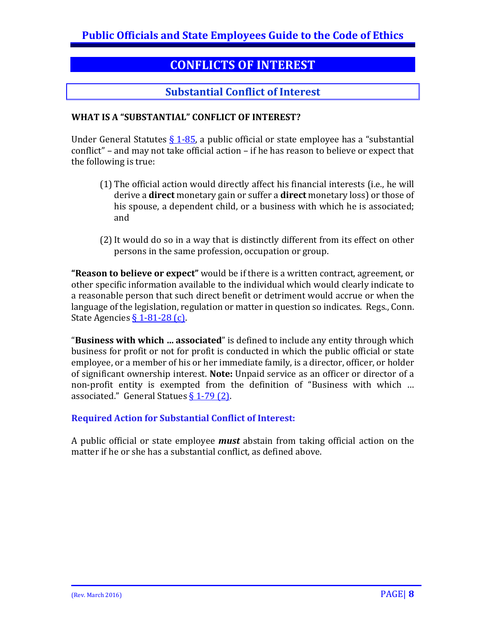## **CONFLICTS OF INTEREST**

## **Substantial Conflict of Interest**

#### **WHAT IS A "SUBSTANTIAL" CONFLICT OF INTEREST?**

Under General Statutes  $\S$  1-85, a public official or state employee has a "substantial conflict" – and may not take official action – if he has reason to believe or expect that the following is true:

- (1) The official action would directly affect his financial interests (i.e., he will derive a **direct** monetary gain or suffer a **direct** monetary loss) or those of his spouse, a dependent child, or a business with which he is associated; and
- (2)It would do so in a way that is distinctly different from its effect on other persons in the same profession, occupation or group.

**"Reason to believe or expect"** would be if there is a written contract, agreement, or other specific information available to the individual which would clearly indicate to a reasonable person that such direct benefit or detriment would accrue or when the language of the legislation, regulation or matter in question so indicates. Regs., Conn. State Agencie[s § 1-81-28 \(c\).](http://www.sots.ct.gov/sots/lib/sots/regulations/title_01/081.pdf)

"**Business with which … associated**" is defined to include any entity through which business for profit or not for profit is conducted in which the public official or state employee, or a member of his or her immediate family, is a director, officer, or holder of significant ownership interest. **Note:** Unpaid service as an officer or director of a non-profit entity is exempted from the definition of "Business with which … associated." General Statues  $\S 1-79$  (2).

#### **Required Action for Substantial Conflict of Interest:**

A public official or state employee *must* abstain from taking official action on the matter if he or she has a substantial conflict, as defined above.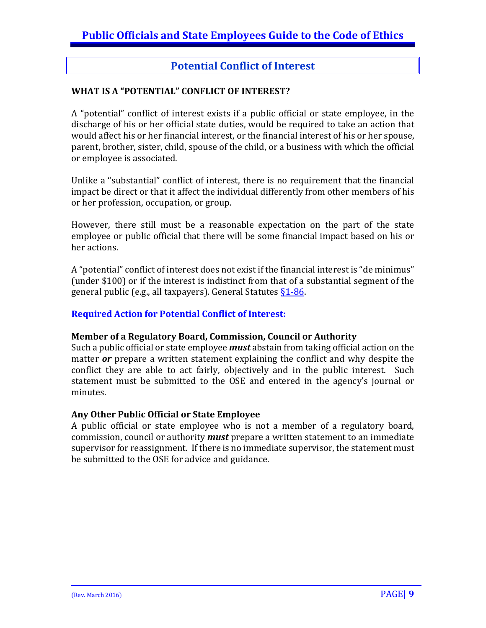#### **Potential Conflict of Interest**

#### **WHAT IS A "POTENTIAL" CONFLICT OF INTEREST?**

A "potential" conflict of interest exists if a public official or state employee, in the discharge of his or her official state duties, would be required to take an action that would affect his or her financial interest, or the financial interest of his or her spouse, parent, brother, sister, child, spouse of the child, or a business with which the official or employee is associated.

Unlike a "substantial" conflict of interest, there is no requirement that the financial impact be direct or that it affect the individual differently from other members of his or her profession, occupation, or group.

However, there still must be a reasonable expectation on the part of the state employee or public official that there will be some financial impact based on his or her actions.

A "potential" conflict of interest does not exist if the financial interest is "de minimus" (under \$100) or if the interest is indistinct from that of a substantial segment of the general public (e.g., all taxpayers). General Statutes  $\S 1 - 86$ .

#### **Required Action for Potential Conflict of Interest:**

#### **Member of a Regulatory Board, Commission, Council or Authority**

Such a public official or state employee *must* abstain from taking official action on the matter *or* prepare a written statement explaining the conflict and why despite the conflict they are able to act fairly, objectively and in the public interest. Such statement must be submitted to the OSE and entered in the agency's journal or minutes.

#### **Any Other Public Official or State Employee**

A public official or state employee who is not a member of a regulatory board, commission, council or authority *must* prepare a written statement to an immediate supervisor for reassignment. If there is no immediate supervisor, the statement must be submitted to the OSE for advice and guidance.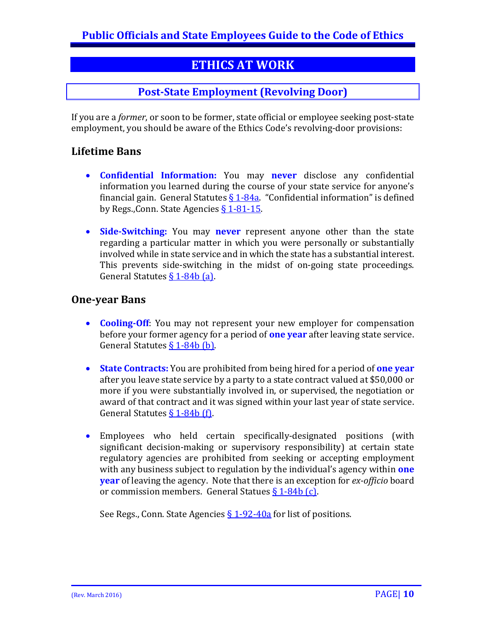## **ETHICS AT WORK**

#### **Post-State Employment (Revolving Door)**

If you are a *former*, or soon to be former, state official or employee seeking post-state employment, you should be aware of the Ethics Code's revolving-door provisions:

#### **Lifetime Bans**

- **Confidential Information:** You may **never** disclose any confidential information you learned during the course of your state service for anyone's financial gain. General Statutes  $\S 1-84a$ . "Confidential information" is defined by Regs., Conn. State Agencies  $\S 1-81-15$ .
- **Side-Switching:** You may **never** represent anyone other than the state regarding a particular matter in which you were personally or substantially involved while in state service and in which the state has a substantial interest. This prevents side-switching in the midst of on-going state proceedings. General Statutes [§ 1-84b \(a\).](https://www.cga.ct.gov/current/pub/chap_010.htm#sec_1-84b)

#### **One-year Bans**

- **Cooling-Off**: You may not represent your new employer for compensation before your former agency for a period of **one year** after leaving state service. General Statute[s § 1-84b \(b\).](https://www.cga.ct.gov/current/pub/chap_010.htm#sec_1-84b)
- **State Contracts:** You are prohibited from being hired for a period of **one year** after you leave state service by a party to a state contract valued at \$50,000 or more if you were substantially involved in, or supervised, the negotiation or award of that contract and it was signed within your last year of state service. General Statutes  $\S$  1-84b (f).
- Employees who held certain specifically-designated positions (with significant decision-making or supervisory responsibility) at certain state regulatory agencies are prohibited from seeking or accepting employment with any business subject to regulation by the individual's agency within **one year** of leaving the agency. Note that there is an exception for *ex-officio* board or commission members. General Statues [§ 1-84b \(c\).](https://www.cga.ct.gov/current/pub/chap_010.htm#sec_1-84b)

See Regs., Conn. State Agencies  $\S$  1-92-40a for list of positions.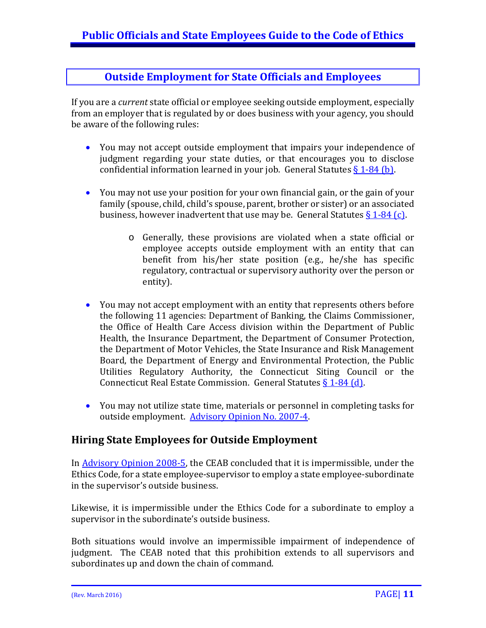#### **Outside Employment for State Officials and Employees**

If you are a *current* state official or employee seeking outside employment, especially from an employer that is regulated by or does business with your agency, you should be aware of the following rules:

- You may not accept outside employment that impairs your independence of judgment regarding your state duties, or that encourages you to disclose confidential information learned in your job. General Statutes  $\S 1-84$  (b).
- You may not use your position for your own financial gain, or the gain of your family (spouse, child, child's spouse, parent, brother or sister) or an associated business, however inadvertent that use may be. General Statutes  $\S 1-84$  (c).
	- o Generally, these provisions are violated when a state official or employee accepts outside employment with an entity that can benefit from his/her state position (e.g., he/she has specific regulatory, contractual or supervisory authority over the person or entity).
- You may not accept employment with an entity that represents others before the following 11 agencies: Department of Banking, the Claims Commissioner, the Office of Health Care Access division within the Department of Public Health, the Insurance Department, the Department of Consumer Protection, the Department of Motor Vehicles, the State Insurance and Risk Management Board, the Department of Energy and Environmental Protection, the Public Utilities Regulatory Authority, the Connecticut Siting Council or the Connecticut Real Estate Commission. General Statutes § [1-84 \(d\).](https://www.cga.ct.gov/current/pub/chap_010.htm#sec_1-84)
- You may not utilize state time, materials or personnel in completing tasks for outside employment. [Advisory Opinion No. 2007-4.](http://www.ct.gov/ethics/cwp/view.asp?a=2305&q=332802)

#### **Hiring State Employees for Outside Employment**

In [Advisory Opinion 2008-5,](http://www.ct.gov/ethics/cwp/view.asp?a=2305&q=420120) the CEAB concluded that it is impermissible, under the Ethics Code, for a state employee-supervisor to employ a state employee-subordinate in the supervisor's outside business.

Likewise, it is impermissible under the Ethics Code for a subordinate to employ a supervisor in the subordinate's outside business.

Both situations would involve an impermissible impairment of independence of judgment. The CEAB noted that this prohibition extends to all supervisors and subordinates up and down the chain of command.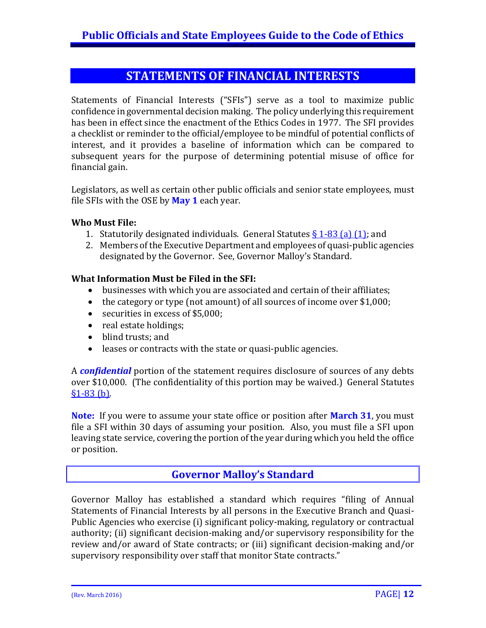## **STATEMENTS OF FINANCIAL INTERESTS**

Statements of Financial Interests ("SFIs") serve as a tool to maximize public confidence in governmental decision making. The policy underlying this requirement has been in effect since the enactment of the Ethics Codes in 1977. The SFI provides a checklist or reminder to the official/employee to be mindful of potential conflicts of interest, and it provides a baseline of information which can be compared to subsequent years for the purpose of determining potential misuse of office for financial gain.

Legislators, as well as certain other public officials and senior state employees, must file SFIs with the OSE by **May 1** each year.

#### **Who Must File:**

- 1. Statutorily designated individuals. General Statutes  $\S$  [1-83 \(a\) \(1\);](https://www.cga.ct.gov/2016/sup/chap_010.htm#sec_1-83) and
- 2. Members of the Executive Department and employees of quasi-public agencies designated by the Governor. See, Governor Malloy's Standard.

#### **What Information Must be Filed in the SFI:**

- businesses with which you are associated and certain of their affiliates;
- the category or type (not amount) of all sources of income over \$1,000;
- securities in excess of \$5,000;
- real estate holdings;
- blind trusts: and
- leases or contracts with the state or quasi-public agencies.

A *confidential* portion of the statement requires disclosure of sources of any debts over \$10,000. (The confidentiality of this portion may be waived.) General Statutes [§1-83 \(b\).](https://www.cga.ct.gov/2016/sup/chap_010.htm#sec_1-83)

**Note:** If you were to assume your state office or position after **March 31**, you must file a SFI within 30 days of assuming your position. Also, you must file a SFI upon leaving state service, covering the portion of the year during which you held the office or position.

#### **Governor Malloy's Standard**

Governor Malloy has established a standard which requires "filing of Annual Statements of Financial Interests by all persons in the Executive Branch and Quasi-Public Agencies who exercise (i) significant policy-making, regulatory or contractual authority; (ii) significant decision-making and/or supervisory responsibility for the review and/or award of State contracts; or (iii) significant decision-making and/or supervisory responsibility over staff that monitor State contracts."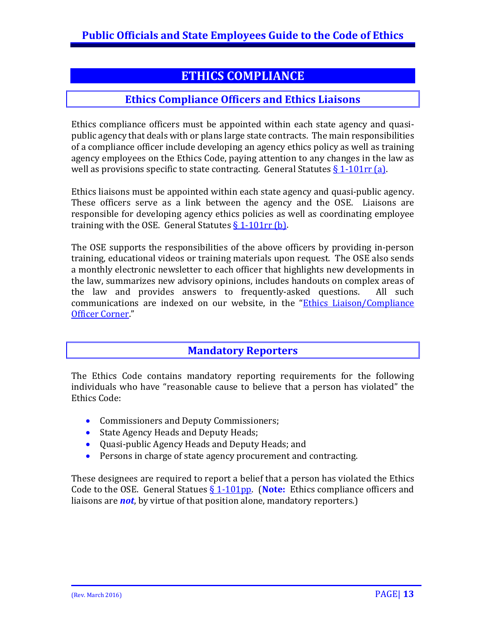## **ETHICS COMPLIANCE**

#### **Ethics Compliance Officers and Ethics Liaisons**

Ethics compliance officers must be appointed within each state agency and quasipublic agency that deals with or plans large state contracts. The main responsibilities of a compliance officer include developing an agency ethics policy as well as training agency employees on the Ethics Code, paying attention to any changes in the law as well as provisions specific to state contracting. General Statutes  $\S 1$ -101rr (a).

Ethics liaisons must be appointed within each state agency and quasi-public agency. These officers serve as a link between the agency and the OSE. Liaisons are responsible for developing agency ethics policies as well as coordinating employee training with the OSE. General Statutes  $\S 1$ -101rr (b).

The OSE supports the responsibilities of the above officers by providing in-person training, educational videos or training materials upon request. The OSE also sends a monthly electronic newsletter to each officer that highlights new developments in the law, summarizes new advisory opinions, includes handouts on complex areas of the law and provides answers to frequently-asked questions. All such the law and provides answers to frequently-asked questions. communications are indexed on our website, in the ["Ethics Liaison/Compliance](http://www.ct.gov/ethics/cwp/view.asp?a=4132&q=313104ðicsNav=|)  [Officer Corner.](http://www.ct.gov/ethics/cwp/view.asp?a=4132&q=313104ðicsNav=|)"

#### **Mandatory Reporters**

The Ethics Code contains mandatory reporting requirements for the following individuals who have "reasonable cause to believe that a person has violated" the Ethics Code:

- Commissioners and Deputy Commissioners;
- State Agency Heads and Deputy Heads;
- Quasi-public Agency Heads and Deputy Heads; and
- Persons in charge of state agency procurement and contracting.

These designees are required to report a belief that a person has violated the Ethics Code to the OSE. General Statues [§ 1-101pp.](https://www.cga.ct.gov/current/pub/chap_010.htm#sec_1-101pp) (**Note:** Ethics compliance officers and liaisons are *not*, by virtue of that position alone, mandatory reporters.)